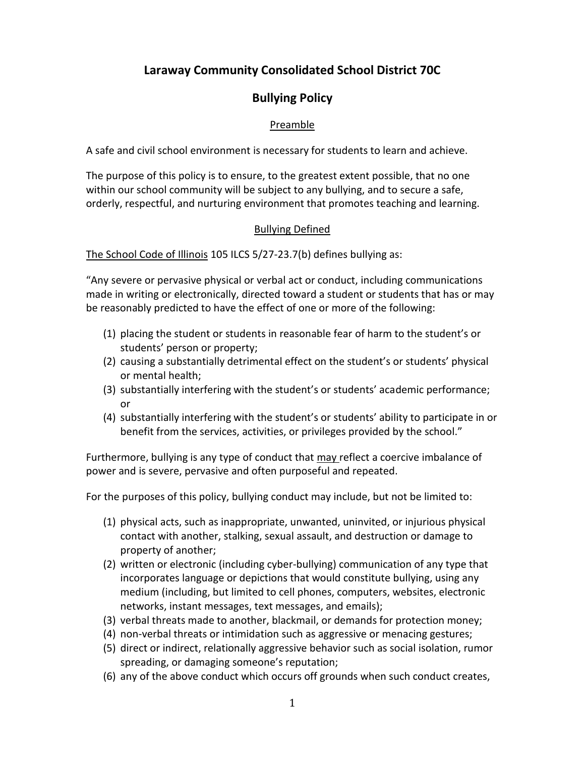# **Laraway Community Consolidated School District 70C**

# **Bullying Policy**

# Preamble

A safe and civil school environment is necessary for students to learn and achieve.

The purpose of this policy is to ensure, to the greatest extent possible, that no one within our school community will be subject to any bullying, and to secure a safe, orderly, respectful, and nurturing environment that promotes teaching and learning.

# Bullying Defined

The School Code of Illinois 105 ILCS 5/27-23.7(b) defines bullying as:

"Any severe or pervasive physical or verbal act or conduct, including communications made in writing or electronically, directed toward a student or students that has or may be reasonably predicted to have the effect of one or more of the following:

- (1) placing the student or students in reasonable fear of harm to the student's or students' person or property;
- (2) causing a substantially detrimental effect on the student's or students' physical or mental health;
- (3) substantially interfering with the student's or students' academic performance; or
- (4) substantially interfering with the student's or students' ability to participate in or benefit from the services, activities, or privileges provided by the school."

Furthermore, bullying is any type of conduct that may reflect a coercive imbalance of power and is severe, pervasive and often purposeful and repeated.

For the purposes of this policy, bullying conduct may include, but not be limited to:

- (1) physical acts, such as inappropriate, unwanted, uninvited, or injurious physical contact with another, stalking, sexual assault, and destruction or damage to property of another;
- (2) written or electronic (including cyber-bullying) communication of any type that incorporates language or depictions that would constitute bullying, using any medium (including, but limited to cell phones, computers, websites, electronic networks, instant messages, text messages, and emails);
- (3) verbal threats made to another, blackmail, or demands for protection money;
- (4) non-verbal threats or intimidation such as aggressive or menacing gestures;
- (5) direct or indirect, relationally aggressive behavior such as social isolation, rumor spreading, or damaging someone's reputation;
- (6) any of the above conduct which occurs off grounds when such conduct creates,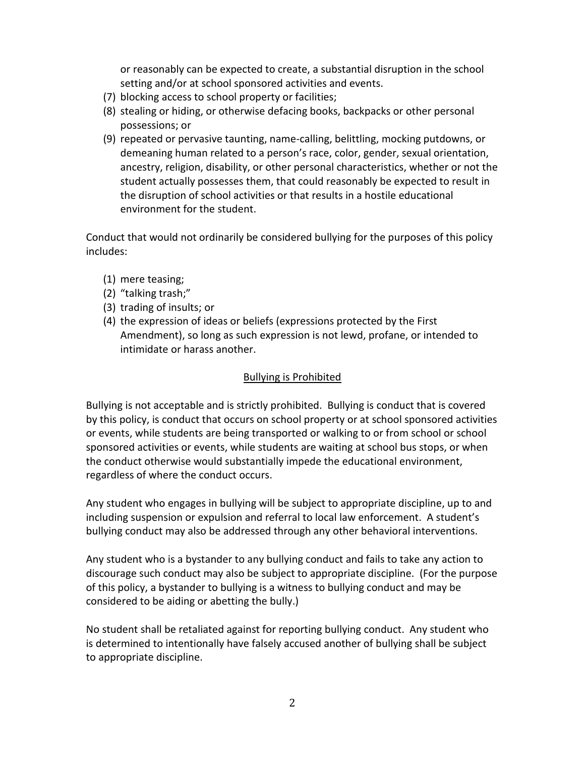or reasonably can be expected to create, a substantial disruption in the school setting and/or at school sponsored activities and events.

- (7) blocking access to school property or facilities;
- (8) stealing or hiding, or otherwise defacing books, backpacks or other personal possessions; or
- (9) repeated or pervasive taunting, name-calling, belittling, mocking putdowns, or demeaning human related to a person's race, color, gender, sexual orientation, ancestry, religion, disability, or other personal characteristics, whether or not the student actually possesses them, that could reasonably be expected to result in the disruption of school activities or that results in a hostile educational environment for the student.

Conduct that would not ordinarily be considered bullying for the purposes of this policy includes:

- (1) mere teasing;
- (2) "talking trash;"
- (3) trading of insults; or
- (4) the expression of ideas or beliefs (expressions protected by the First Amendment), so long as such expression is not lewd, profane, or intended to intimidate or harass another.

#### Bullying is Prohibited

Bullying is not acceptable and is strictly prohibited. Bullying is conduct that is covered by this policy, is conduct that occurs on school property or at school sponsored activities or events, while students are being transported or walking to or from school or school sponsored activities or events, while students are waiting at school bus stops, or when the conduct otherwise would substantially impede the educational environment, regardless of where the conduct occurs.

Any student who engages in bullying will be subject to appropriate discipline, up to and including suspension or expulsion and referral to local law enforcement. A student's bullying conduct may also be addressed through any other behavioral interventions.

Any student who is a bystander to any bullying conduct and fails to take any action to discourage such conduct may also be subject to appropriate discipline. (For the purpose of this policy, a bystander to bullying is a witness to bullying conduct and may be considered to be aiding or abetting the bully.)

No student shall be retaliated against for reporting bullying conduct. Any student who is determined to intentionally have falsely accused another of bullying shall be subject to appropriate discipline.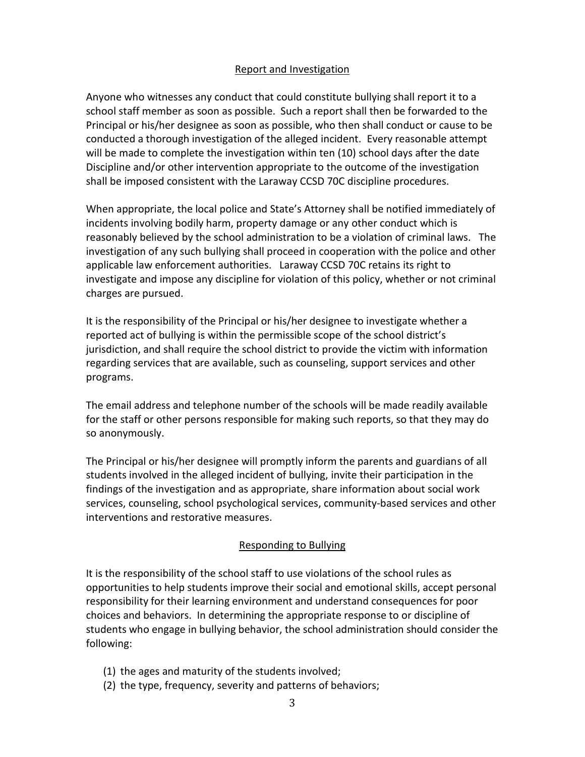## Report and Investigation

Anyone who witnesses any conduct that could constitute bullying shall report it to a school staff member as soon as possible. Such a report shall then be forwarded to the Principal or his/her designee as soon as possible, who then shall conduct or cause to be conducted a thorough investigation of the alleged incident. Every reasonable attempt will be made to complete the investigation within ten (10) school days after the date Discipline and/or other intervention appropriate to the outcome of the investigation shall be imposed consistent with the Laraway CCSD 70C discipline procedures.

When appropriate, the local police and State's Attorney shall be notified immediately of incidents involving bodily harm, property damage or any other conduct which is reasonably believed by the school administration to be a violation of criminal laws. The investigation of any such bullying shall proceed in cooperation with the police and other applicable law enforcement authorities. Laraway CCSD 70C retains its right to investigate and impose any discipline for violation of this policy, whether or not criminal charges are pursued.

It is the responsibility of the Principal or his/her designee to investigate whether a reported act of bullying is within the permissible scope of the school district's jurisdiction, and shall require the school district to provide the victim with information regarding services that are available, such as counseling, support services and other programs.

The email address and telephone number of the schools will be made readily available for the staff or other persons responsible for making such reports, so that they may do so anonymously.

The Principal or his/her designee will promptly inform the parents and guardians of all students involved in the alleged incident of bullying, invite their participation in the findings of the investigation and as appropriate, share information about social work services, counseling, school psychological services, community-based services and other interventions and restorative measures.

## Responding to Bullying

It is the responsibility of the school staff to use violations of the school rules as opportunities to help students improve their social and emotional skills, accept personal responsibility for their learning environment and understand consequences for poor choices and behaviors. In determining the appropriate response to or discipline of students who engage in bullying behavior, the school administration should consider the following:

- (1) the ages and maturity of the students involved;
- (2) the type, frequency, severity and patterns of behaviors;